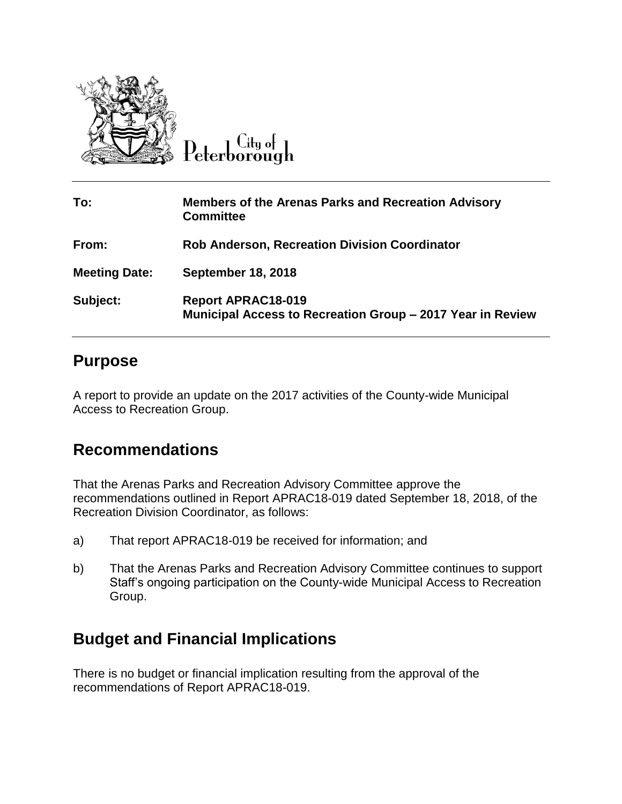

Peterborough

| To:                  | <b>Members of the Arenas Parks and Recreation Advisory</b><br><b>Committee</b>          |
|----------------------|-----------------------------------------------------------------------------------------|
| From:                | <b>Rob Anderson, Recreation Division Coordinator</b>                                    |
| <b>Meeting Date:</b> | <b>September 18, 2018</b>                                                               |
| Subject:             | <b>Report APRAC18-019</b><br>Municipal Access to Recreation Group - 2017 Year in Review |

## **Purpose**

A report to provide an update on the 2017 activities of the County-wide Municipal Access to Recreation Group.

## **Recommendations**

That the Arenas Parks and Recreation Advisory Committee approve the recommendations outlined in Report APRAC18-019 dated September 18, 2018, of the Recreation Division Coordinator, as follows:

- a) That report APRAC18-019 be received for information; and
- b) That the Arenas Parks and Recreation Advisory Committee continues to support Staff's ongoing participation on the County-wide Municipal Access to Recreation Group.

## **Budget and Financial Implications**

There is no budget or financial implication resulting from the approval of the recommendations of Report APRAC18-019.